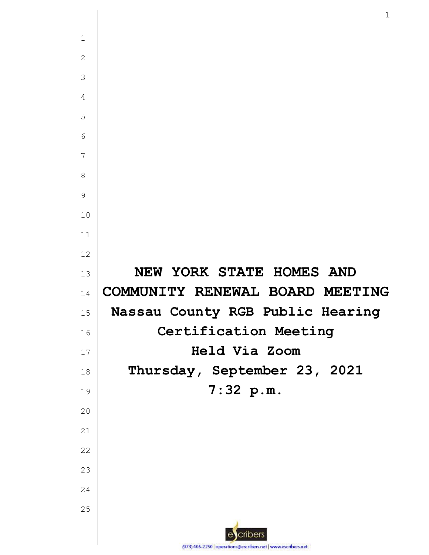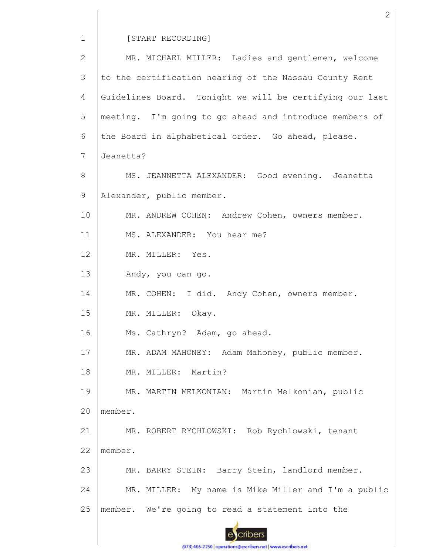[START RECORDING]

1

MR. MICHAEL MILLER: Ladies and gentlemen, welcome 2 3 to the certification hearing of the Nassau County Rent Guidelines Board. Tonight we will be certifying our last 4 5 meeting. I'm going to go ahead and introduce members of 6 the Board in alphabetical order. Go ahead, please. 7 Jeanetta? MS. JEANNETTA ALEXANDER: Good evening. Jeanetta 8 9 Alexander, public member. 10 MR. ANDREW COHEN: Andrew Cohen, owners member. 11 MS. ALEXANDER: You hear me? 12 MR. MILLER: Yes. 13 Andy, you can go. 14 MR. COHEN: I did. Andy Cohen, owners member. 15 MR. MILLER: Okay. 16 Ms. Cathryn? Adam, go ahead. MR. ADAM MAHONEY: Adam Mahoney, public member. 17 18 MR. MILLER: Martin? 19 MR. MARTIN MELKONIAN: Martin Melkonian, public  $20$ member. 21 MR. ROBERT RYCHLOWSKI: Rob Rychlowski, tenant 22 member. 23 MR. BARRY STEIN: Barry Stein, landlord member. 24 MR. MILLER: My name is Mike Miller and I'm a public 25 member. We're going to read a statement into the cribers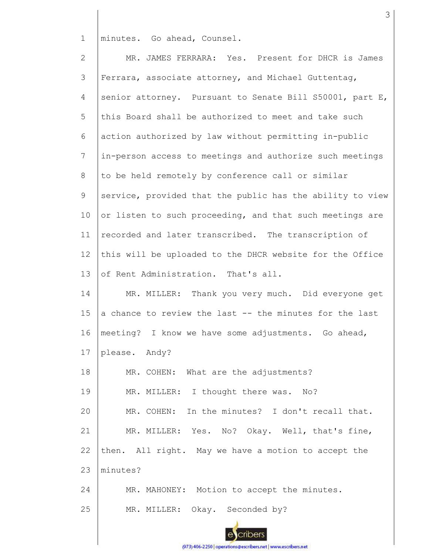1 minutes. Go ahead, Counsel.

2 3 4 5 6 7 8 9 10 11 12 13 14 15 16 17 18 19 20 21 22 23 24 25 MR. JAMES FERRARA: Yes. Present for DHCR is James Ferrara, associate attorney, and Michael Guttentag, senior attorney. Pursuant to Senate Bill S50001, part E, this Board shall be authorized to meet and take such action authorized by law without permitting in-public in-person access to meetings and authorize such meetings to be held remotely by conference call or similar service, provided that the public has the ability to view or listen to such proceeding, and that such meetings are recorded and later transcribed. The transcription of this will be uploaded to the DHCR website for the Office of Rent Administration. That's all. MR. MILLER: Thank you very much. Did everyone get a chance to review the last -- the minutes for the last meeting? I know we have some adjustments. Go ahead, please. Andy? MR. COHEN: What are the adjustments? MR. MILLER: I thought there was. No? MR. COHEN: In the minutes? I don't recall that. MR. MILLER: Yes. No? Okay. Well, that's fine, then. All right. May we have a motion to accept the minutes? MR. MAHONEY: Motion to accept the minutes. MR. MILLER: Okay. Seconded by?

3

cribers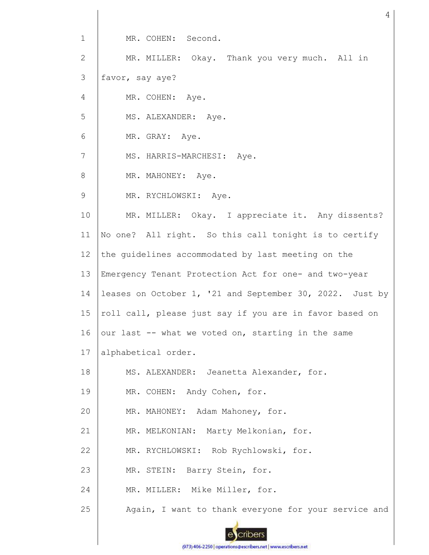1 2 3 4 5 6 7 8 9 10 11 12 13 14 15 16 17 18 19 20 MR. COHEN: Second. MR. MILLER: Okay. Thank you very much. All in favor, say aye? MR. COHEN: Aye. MS. ALEXANDER: Aye. MR. GRAY: Aye. MS. HARRIS-MARCHESI: Aye. MR. MAHONEY: Aye. MR. RYCHLOWSKI: Aye. MR. MILLER: Okay. I appreciate it. Any dissents? No one? All right. So this call tonight is to certify the guidelines accommodated by last meeting on the Emergency Tenant Protection Act for one- and two-year leases on October 1, '21 and September 30, 2022. Just by roll call, please just say if you are in favor based on our last -- what we voted on, starting in the same alphabetical order. MS. ALEXANDER: Jeanetta Alexander, for. MR. COHEN: Andy Cohen, for. MR. MAHONEY: Adam Mahoney, for.

21 MR. MELKONIAN: Marty Melkonian, for.

22 MR. RYCHLOWSKI: Rob Rychlowski, for.

23 MR. STEIN: Barry Stein, for.

24 MR. MILLER: Mike Miller, for.

25 Again, I want to thank everyone for your service and

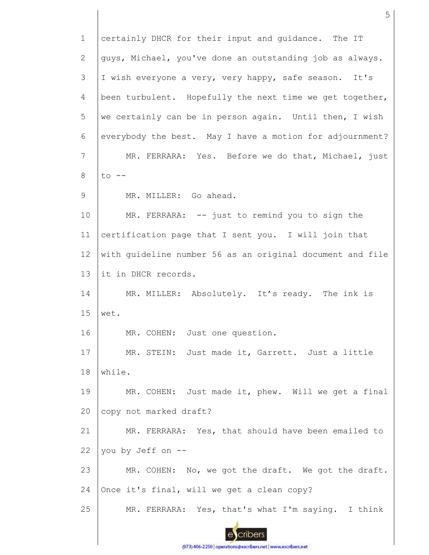1 certainly DHCR for their input and guidance. The IT guys, Michael, you've done an outstanding job as always. 2 3 I wish everyone a very, very happy, safe season. It's 4 been turbulent. Hopefully the next time we get together, 5 we certainly can be in person again. Until then, I wish 6 everybody the best. May I have a motion for adjournment? 7 MR. FERRARA: Yes. Before we do that, Michael, just 8  $to$   $--$ 9 MR. MILLER: Go ahead. 10 MR. FERRARA: -- just to remind you to sign the certification page that I sent you. I will join that 11 12 with guideline number 56 as an original document and file 13 it in DHCR records. MR. MILLER: Absolutely. It's ready. The ink is 14 15 wet. 16 MR. COHEN: Just one question. 17 MR. STEIN: Just made it, Garrett. Just a little 18 while. 19 MR. COHEN: Just made it, phew. Will we get a final 20 copy not marked draft? 21 MR. FERRARA: Yes, that should have been emailed to 22 you by Jeff on -- 23 MR. COHEN: No, we got the draft. We got the draft. 24 Once it's final, will we get a clean copy? 25 MR. FERRARA: Yes, that's what I'm saying. I think cribers

5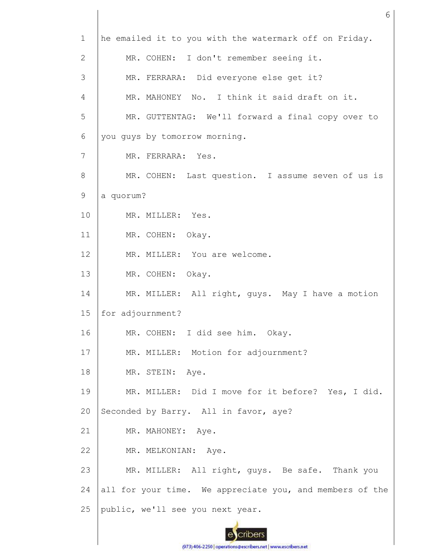| $\mathbf{1}$ | he emailed it to you with the watermark off on Friday.   |
|--------------|----------------------------------------------------------|
| 2            | MR. COHEN: I don't remember seeing it.                   |
| 3            | MR. FERRARA: Did everyone else get it?                   |
| 4            | MR. MAHONEY No. I think it said draft on it.             |
| 5            | MR. GUTTENTAG: We'll forward a final copy over to        |
| 6            | you guys by tomorrow morning.                            |
| 7            | MR. FERRARA: Yes.                                        |
| 8            | MR. COHEN: Last question. I assume seven of us is        |
| 9            | a quorum?                                                |
| 10           | MR. MILLER: Yes.                                         |
| 11           | MR. COHEN: Okay.                                         |
| 12           | MR. MILLER: You are welcome.                             |
| 13           | MR. COHEN: Okay.                                         |
| 14           | MR. MILLER: All right, guys. May I have a motion         |
| 15           | for adjournment?                                         |
| 16           | MR. COHEN: I did see him. Okay.                          |
| 17           | MR. MILLER: Motion for adjournment?                      |
| 18           | MR. STEIN: Aye.                                          |
| 19           | MR. MILLER: Did I move for it before? Yes, I did.        |
| 20           | Seconded by Barry. All in favor, aye?                    |
| 21           | MR. MAHONEY: Aye.                                        |
| 22           | MR. MELKONIAN: Aye.                                      |
| 23           | MR. MILLER: All right, guys. Be safe. Thank you          |
| 24           | all for your time. We appreciate you, and members of the |
| 25           | public, we'll see you next year.                         |
|              |                                                          |

6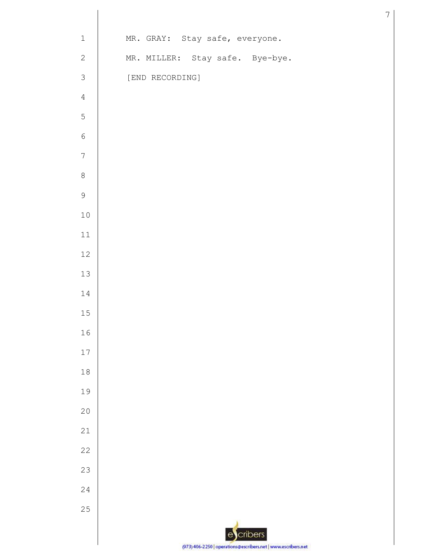| $\mathbf 1$      | MR. GRAY: Stay safe, everyone.  |
|------------------|---------------------------------|
| $\mathbf{2}$     | MR. MILLER: Stay safe. Bye-bye. |
| $\mathfrak{Z}$   | [END RECORDING]                 |
| $\sqrt{4}$       |                                 |
| 5                |                                 |
| $\sqrt{6}$       |                                 |
| $\boldsymbol{7}$ |                                 |
| $\,8\,$          |                                 |
| $\mathsf 9$      |                                 |
| $10$             |                                 |
| $11\,$           |                                 |
| $12\,$           |                                 |
| $13\,$           |                                 |
| $1\,4$           |                                 |
| $15\,$           |                                 |
| $16\,$           |                                 |
| $17\,$           |                                 |
| $1\,8$           |                                 |
| 19               |                                 |
| $20$             |                                 |
| 21               |                                 |
| $2\sqrt{2}$      |                                 |
| 23               |                                 |
| 24               |                                 |
| 25               |                                 |
|                  | escribers                       |
|                  | つつだれ<br>0721                    |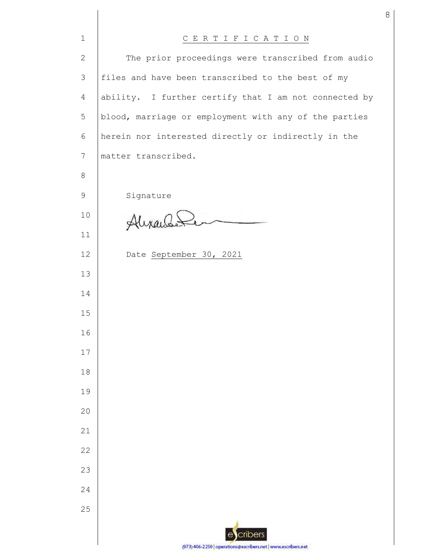| $\mathbf{1}$    | CERTIFICATION                                                 |  |  |  |  |
|-----------------|---------------------------------------------------------------|--|--|--|--|
| $\mathbf{2}$    | The prior proceedings were transcribed from audio             |  |  |  |  |
| 3               | files and have been transcribed to the best of my             |  |  |  |  |
| 4               | ability. I further certify that I am not connected by         |  |  |  |  |
| 5               | blood, marriage or employment with any of the parties         |  |  |  |  |
| 6               | herein nor interested directly or indirectly in the           |  |  |  |  |
| $7\phantom{.0}$ | matter transcribed.                                           |  |  |  |  |
| 8               |                                                               |  |  |  |  |
| 9               | Signature                                                     |  |  |  |  |
| 10              | Alixandeler                                                   |  |  |  |  |
| 11              |                                                               |  |  |  |  |
| 12              | Date September 30, 2021                                       |  |  |  |  |
| 13              |                                                               |  |  |  |  |
| 14              |                                                               |  |  |  |  |
| 15              |                                                               |  |  |  |  |
| 16              |                                                               |  |  |  |  |
| 17              |                                                               |  |  |  |  |
| 18              |                                                               |  |  |  |  |
| 19              |                                                               |  |  |  |  |
| 20              |                                                               |  |  |  |  |
| 21              |                                                               |  |  |  |  |
| 22              |                                                               |  |  |  |  |
| 23              |                                                               |  |  |  |  |
| 24              |                                                               |  |  |  |  |
| 25              |                                                               |  |  |  |  |
|                 | cribers                                                       |  |  |  |  |
|                 | (973) 406-2250   operations@escribers.net   www.escribers.net |  |  |  |  |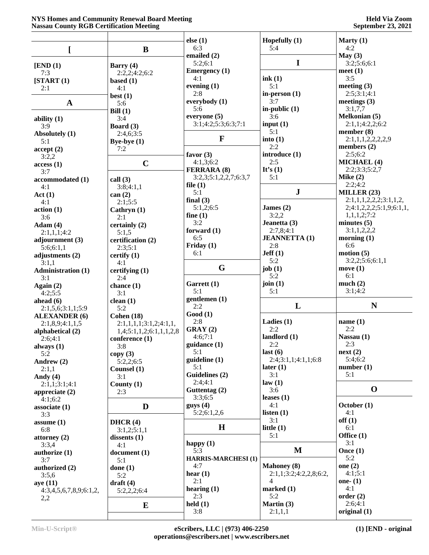## **NYS Homes and Community Renewal Board Meeting Nassau County RGB Certification Meeting**

|                           |                          | else $(1)$                          | Hopefully $(1)$        | Marty $(1)$                 |
|---------------------------|--------------------------|-------------------------------------|------------------------|-----------------------------|
|                           | $\bf{B}$                 | 6:3                                 | 5:4                    | 4:2                         |
|                           |                          | emailed $(2)$                       |                        | May (3)                     |
| [END (1)]                 | Barry $(4)$              | 5:2;6:1                             | $\mathbf I$            | 3:2;5:6;6:1                 |
| 7:3                       | 2:2,2;4:2;6:2            | <b>Emergency</b> (1)                |                        | meet $(1)$                  |
| [START (1)]               | based $(1)$              | 4:1                                 | ink(1)                 | 3:5                         |
| 2:1                       | 4:1                      | evening $(1)$                       | 5:1                    | meeting $(3)$               |
|                           | best(1)                  | 2:8                                 | in-person $(1)$        | 2:5;3:1;4:1                 |
| $\mathbf A$               | 5:6                      | everybody $(1)$                     | 3:7                    | meetings $(3)$              |
|                           | Bill $(1)$               | 5:6                                 | in-public $(1)$        | 3:1,7,7                     |
| ability $(1)$             | 3:4                      | everyone (5)                        | 3:6                    | <b>Melkonian (5)</b>        |
| 3:9                       | Board (3)                | 3:1;4:2;5:3;6:3;7:1                 | input $(1)$            | 2:1,1;4:2,2;6:2             |
| Absolutely (1)            | 2:4,6;3:5                |                                     | 5:1                    | member $(8)$                |
| 5:1                       | Bye-bye $(1)$            | $\mathbf{F}$                        | into $(1)$             | 2:1,1,1,2,2,2,2,9           |
| accept(2)                 | 7:2                      |                                     | 2:2                    | members $(2)$               |
| 3:2,2                     |                          | favor $(3)$                         | introduce (1)          | 2:5;6:2                     |
| access(1)                 | $\mathbf C$              | 4:1,3;6:2                           | 2:5                    | <b>MICHAEL (4)</b>          |
| 3:7                       |                          | <b>FERRARA (8)</b>                  | It's $(1)$<br>5:1      | 2:2;3:3;5:2,7<br>Mike $(2)$ |
| accommodated (1)          | call $(3)$               | 3:2,3;5:1,2,2,7;6:3,7<br>file $(1)$ |                        | 2:2;4:2                     |
| 4:1                       | 3:8;4:1,1                | 5:1                                 | ${\bf J}$              | MILLER $(23)$               |
| Act(1)                    | can(2)                   | final $(3)$                         |                        | 2:1,1,1,2,2,2,3:1,1,2,      |
| 4:1                       | 2:1;5:5                  | 5:1,2;6:5                           | James $(2)$            | 2;4:1,2,2,2;5:1,9;6:1,1,    |
| action(1)                 | Cathryn $(1)$            | fine $(1)$                          | 3:2,2                  | 1,1,1,2;7:2                 |
| 3:6                       | 2:1                      | 3:2                                 | Jeanetta (3)           | minutes $(5)$               |
| Adam(4)                   | certainly (2)            | forward $(1)$                       | 2:7,8;4:1              | 3:1,1,2,2,2                 |
| 2:1,1,1;4:2               | 5:1,5                    | 6:5                                 | <b>JEANNETTA (1)</b>   | morning $(1)$               |
| adjournment (3)           | certification (2)        | Friday (1)                          | 2:8                    | 6:6                         |
| 5:6;6:1,1                 | 2:3;5:1                  | 6:1                                 | Jeff(1)                | motion (5)                  |
| adjustments (2)<br>3:1,1  | certify $(1)$<br>4:1     |                                     | 5:2                    | 3:2,2;5:6;6:1,1             |
| <b>Administration (1)</b> | certifying $(1)$         | G                                   | job $(1)$              | move $(1)$                  |
| 3:1                       | 2:4                      |                                     | 5:2                    | 6:1                         |
| Again $(2)$               | chance $(1)$             | Garrett (1)                         | join $(1)$             | much $(2)$                  |
| 4:2;5:5                   | 3:1                      | 5:1                                 | 5:1                    | 3:1;4:2                     |
| ahead $(6)$               | clean $(1)$              | gentlemen (1)                       |                        |                             |
| 2:1,5,6;3:1,1;5:9         | 5:2                      | 2:2                                 | L                      | $\mathbf N$                 |
| <b>ALEXANDER</b> (6)      | Cohen $(18)$             | Good(1)                             |                        |                             |
| 2:1,8,9;4:1,1,5           | 2:1,1,1,1,1;3:1,2;4:1,1, | 2:8                                 | Ladies $(1)$           | name $(1)$                  |
| alphabetical (2)          | 1,4;5:1,1,2;6:1,1,1,2,8  | GRAY(2)                             | 2:2                    | 2:2                         |
| 2:6;4:1                   | conference (1)           | 4:6;7:1                             | landlord (1)           | Nassau (1)                  |
| always $(1)$              | 3:8                      | guidance (1)                        | 2:2                    | 2:3                         |
| 5:2                       | copy(3)                  | 5:1                                 | last(6)                | next(2)                     |
| Andrew (2)                | 5:2,2;6:5                | guideline (1)                       | 2:4;3:1,1;4:1,1;6:8    | 5:4;6:2                     |
| 2:1,1                     | Counsel (1)              | 5:1                                 | later (1)              | number(1)                   |
| Andy $(4)$                | 3:1                      | Guidelines (2)                      | 3:1                    | 5:1                         |
| 2:1,1;3:1;4:1             | County $(1)$             | 2:4:4:1                             | law(1)                 |                             |
| appreciate $(2)$          | 2:3                      | Guttentag (2)                       | 3:6                    | $\mathbf 0$                 |
| 4:1;6:2                   |                          | 3:3;6:5                             | leases $(1)$           |                             |
| associate(1)              | D                        | gays(4)                             | 4:1                    | October (1)                 |
| 3:3                       |                          | 5:2;6:1,2,6                         | listen $(1)$           | 4:1                         |
| assume $(1)$              | DHCR $(4)$               | $\mathbf H$                         | 3:1                    | off(1)<br>6:1               |
| 6:8                       | 3:1,2;5:1,1              |                                     | little $(1)$<br>5:1    | Office (1)                  |
| attorney $(2)$            | dissents $(1)$           |                                     |                        | 3:1                         |
| 3:3,4                     | 4:1                      | happy $(1)$<br>5:3                  | M                      | Once $(1)$                  |
| authorize (1)             | document(1)              | <b>HARRIS-MARCHESI (1)</b>          |                        | 5:2                         |
| 3:7                       | 5:1                      | 4:7                                 | <b>Mahoney</b> (8)     | one $(2)$                   |
| authorized (2)            | done $(1)$               | hear $(1)$                          | 2:1,1;3:2;4:2,2,8;6:2, | 4:1;5:1                     |
| 3:5,6                     | 5:2                      | 2:1                                 | $\overline{4}$         | one- $(1)$                  |
| aye(11)                   | $draff(4)$               | hearing $(1)$                       | marked $(1)$           | 4:1                         |
| 4:3,4,5,6,7,8,9;6:1,2,    | 5:2,2,2;6:4              | 2:3                                 | 5:2                    | order(2)                    |
| 2,2                       | E                        | $\text{held}(1)$                    | Martin (3)             | 2:6;4:1                     |
|                           |                          | 3:8                                 | 2:1,1,1                | original $(1)$              |